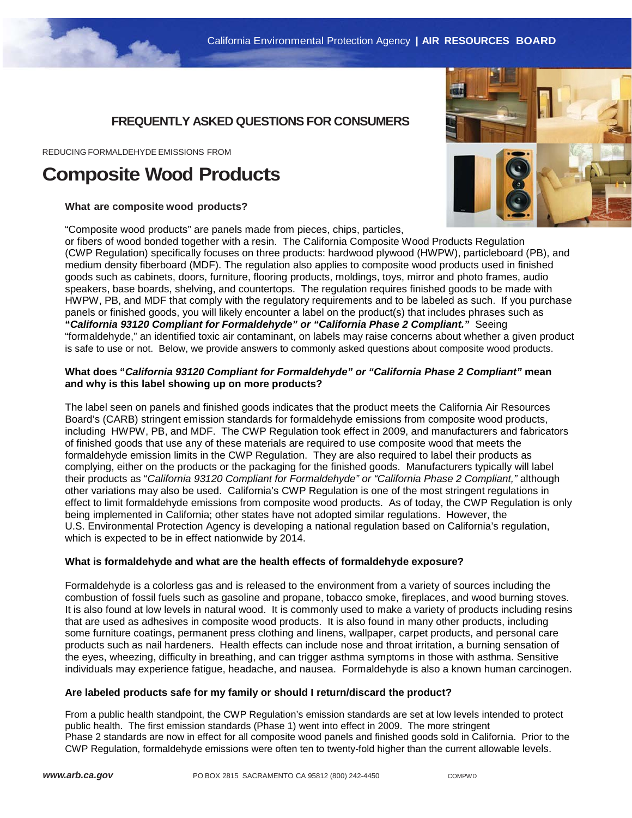# **FREQUENTLY ASKED QUESTIONS FOR CONSUMERS**

REDUCING FORMALDEHYDE EMISSIONS FROM

# **Composite Wood Products**

# **What are composite wood products?**

"Composite wood products" are panels made from pieces, chips, particles,

or fibers of wood bonded together with a resin. The California Composite Wood Products Regulation (CWP Regulation) specifically focuses on three products: hardwood plywood (HWPW), particleboard (PB), and medium density fiberboard (MDF). The regulation also applies to composite wood products used in finished goods such as cabinets, doors, furniture, flooring products, moldings, toys, mirror and photo frames, audio speakers, base boards, shelving, and countertops. The regulation requires finished goods to be made with HWPW, PB, and MDF that comply with the regulatory requirements and to be labeled as such. If you purchase panels or finished goods, you will likely encounter a label on the product(s) that includes phrases such as **"***California 93120 Compliant for Formaldehyde" or "California Phase 2 Compliant."* Seeing "formaldehyde," an identified toxic air contaminant, on labels may raise concerns about whether a given product is safe to use or not. Below, we provide answers to commonly asked questions about composite wood products.

# **What does "***California 93120 Compliant for Formaldehyde" or "California Phase 2 Compliant"* **mean and why is this label showing up on more products?**

The label seen on panels and finished goods indicates that the product meets the California Air Resources Board's (CARB) stringent emission standards for formaldehyde emissions from composite wood products, including HWPW, PB, and MDF. The CWP Regulation took effect in 2009, and manufacturers and fabricators of finished goods that use any of these materials are required to use composite wood that meets the formaldehyde emission limits in the CWP Regulation. They are also required to label their products as complying, either on the products or the packaging for the finished goods. Manufacturers typically will label their products as "*California 93120 Compliant for Formaldehyde" or "California Phase 2 Compliant,"* although other variations may also be used. California's CWP Regulation is one of the most stringent regulations in effect to limit formaldehyde emissions from composite wood products. As of today, the CWP Regulation is only being implemented in California; other states have not adopted similar regulations. However, the U.S. Environmental Protection Agency is developing a national regulation based on California's regulation, which is expected to be in effect nationwide by 2014.

# **What is formaldehyde and what are the health effects of formaldehyde exposure?**

Formaldehyde is a colorless gas and is released to the environment from a variety of sources including the combustion of fossil fuels such as gasoline and propane, tobacco smoke, fireplaces, and wood burning stoves. It is also found at low levels in natural wood. It is commonly used to make a variety of products including resins that are used as adhesives in composite wood products. It is also found in many other products, including some furniture coatings, permanent press clothing and linens, wallpaper, carpet products, and personal care products such as nail hardeners. Health effects can include nose and throat irritation, a burning sensation of the eyes, wheezing, difficulty in breathing, and can trigger asthma symptoms in those with asthma. Sensitive individuals may experience fatigue, headache, and nausea. Formaldehyde is also a known human carcinogen.

# **Are labeled products safe for my family or should I return/discard the product?**

From a public health standpoint, the CWP Regulation's emission standards are set at low levels intended to protect public health. The first emission standards (Phase 1) went into effect in 2009. The more stringent Phase 2 standards are now in effect for all composite wood panels and finished goods sold in California. Prior to the CWP Regulation, formaldehyde emissions were often ten to twenty-fold higher than the current allowable levels.